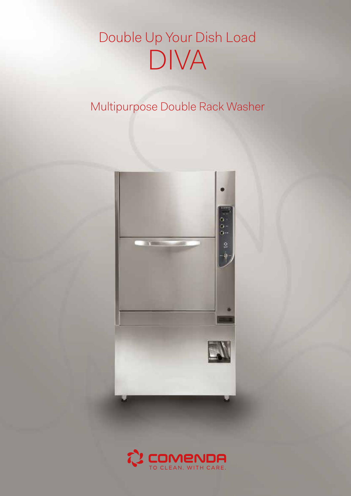# Double Up Your Dish Load DIVA

# Multipurpose Double Rack Washer



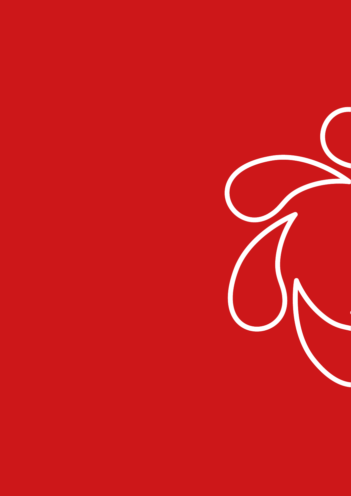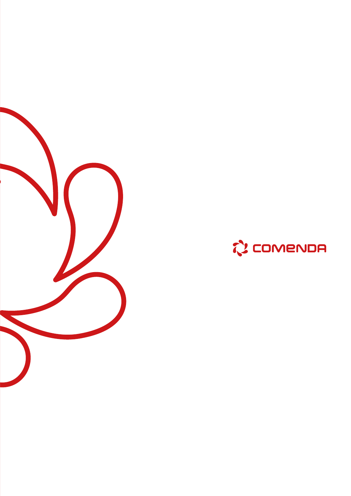

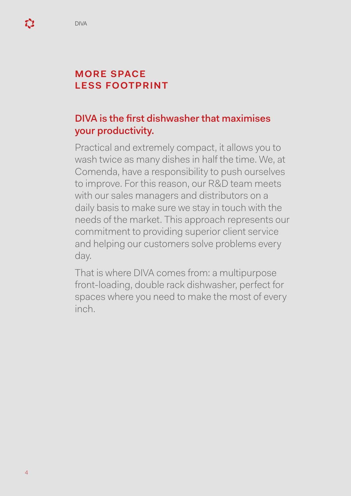$\mathbb{C}^2$ 

# **MORE SPACE LESS FO OTPRINT**

# DIVA is the first dishwasher that maximises your productivity.

Practical and extremely compact, it allows you to wash twice as many dishes in half the time. We, at Comenda, have a responsibility to push ourselves to improve. For this reason, our R&D team meets with our sales managers and distributors on a daily basis to make sure we stay in touch with the needs of the market. This approach represents our commitment to providing superior client service and helping our customers solve problems every day.

That is where DIVA comes from: a multipurpose front-loading, double rack dishwasher, perfect for spaces where you need to make the most of every inch.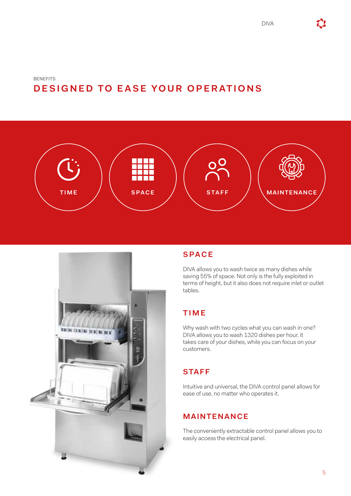



## **SPACE**

DIVA allows you to wash twice as many dishes while saving 55% of space. Not only is the fully exploited in terms of height, but it also does not require inlet or outlet tables.

## **TIME**

Why wash with two cycles what you can wash in one? DIVA allows you to wash 1320 dishes per hour. It takes care of your dishes, while you can focus on your customers.

## **STAFF**

Intuitive and universal, the DIVA control panel allows for ease of use, no matter who operates it.

## **MAINTENANCE**

The conveniently extractable control panel allows you to easily access the electrical panel.

5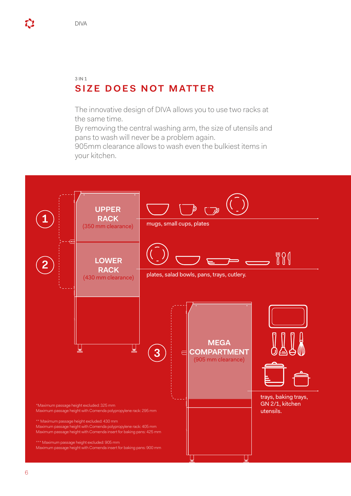#### 3 IN 1 **SIZE DOES NOT MATTER**

The innovative design of DIVA allows you to use two racks at the same time.

By removing the central washing arm, the size of utensils and pans to wash will never be a problem again.

905mm clearance allows to wash even the bulkiest items in your kitchen.

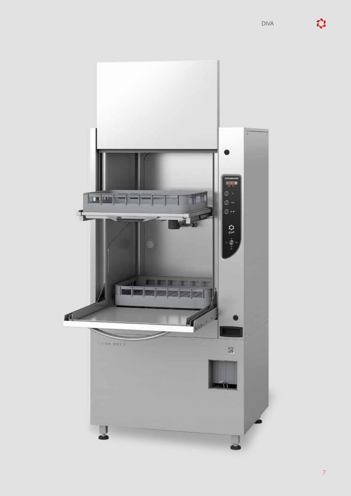

 $\ddot{C}$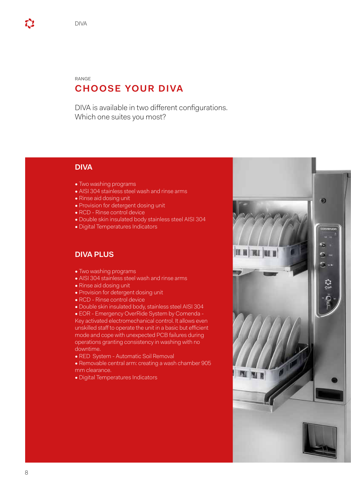## RANGE **CHOOSE YOUR DIVA**

DIVA is available in two different configurations. Which one suites you most?

#### **DIVA**

- Two washing programs
- AISI 304 stainless steel wash and rinse arms
- Rinse aid dosing unit
- Provision for detergent dosing unit
- RCD Rinse control device
- Double skin insulated body stainless steel AISI 304
- Digital Temperatures Indicators

#### **DIVA PLUS**

- Two washing programs
- AISI 304 stainless steel wash and rinse arms
- Rinse aid dosing unit
- Provision for detergent dosing unit
- RCD Rinse control device
- Double skin insulated body, stainless steel AISI 304

• EOR - Emergency OverRide System by Comenda - Key activated electromechanical control. It allows even unskilled staff to operate the unit in a basic but efficient mode and cope with unexpected PCB failures during operations granting consistency in washing with no downtime.

- RED System Automatic Soil Removal
- Removable central arm: creating a wash chamber 905 mm clearance.
- Digital Temperatures Indicators

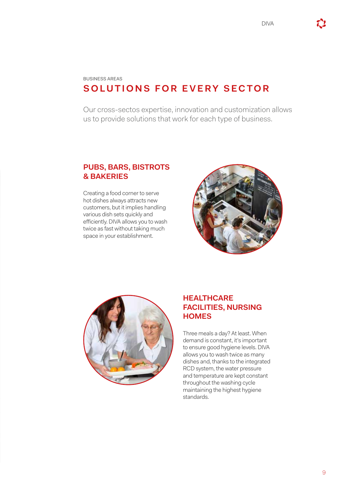BUSINESS AREAS **SOLUTIONS FOR EVERY SECTOR**

Our cross-sectos expertise, innovation and customization allows us to provide solutions that work for each type of business.

#### **PUBS, BARS, BISTROTS & BAKERIES**

Creating a food corner to serve hot dishes always attracts new customers, but it implies handling various dish sets quickly and efficiently. DIVA allows you to wash twice as fast without taking much space in your establishment.





#### **HEALTHCARE FACILITIES, NURSING HOMES**

Three meals a day? At least. When demand is constant, it's important to ensure good hygiene levels. DIVA allows you to wash twice as many dishes and, thanks to the integrated RCD system, the water pressure and temperature are kept constant throughout the washing cycle maintaining the highest hygiene standards.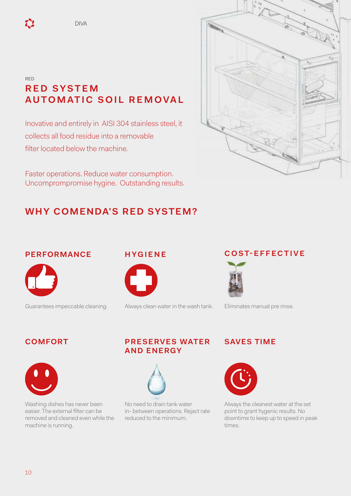## RED **R E D S Y S T E M AUTOMATIC SOIL REMOVAL**

Inovative and entirely in AISI 304 stainless steel, it collects all food residue into a removable filter located below the machine.

Faster operations. Reduce water consumption. Uncomprompromise hygine. Outstanding results.

# **WHY COMENDA'S RED SYSTEM?**





Guarantees impeccable cleaning.

#### **HYGIENE**



Always clean water in the wash tank.

## **COST-EFFECTIVE**



Eliminates manual pre rinse.

## **COMFORT**



Washing dishes has never been easier. The external filter can be removed and cleaned even while the machine is running.





No need to drain tank water in- between operations. Rejact rate reduced to the minimum.

#### **SAVES TIME**



Always the cleanest water at the set point to grant hygenic results. No downtime to keep up to speed in peak times.

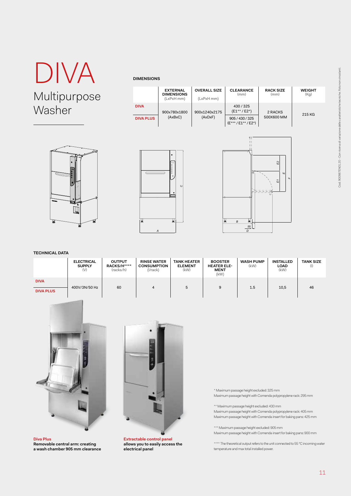# Multipurpose Washer DIVA

#### **DIMENSIONS**

|                  | <b>EXTERNAL</b><br><b>DIMENSIONS</b><br>(LxPxH mm) | <b>OVERALL SIZE</b><br>(LxPxH mm) | <b>CLEARANCE</b><br>(mm)        | <b>RACK SIZE</b><br>(mm) | <b>WEIGHT</b><br>(Kq) |  |
|------------------|----------------------------------------------------|-----------------------------------|---------------------------------|--------------------------|-----------------------|--|
| <b>DIVA</b>      | 900x780x1800                                       | 900x1240x2175<br>(AxDxF)          | 430 / 325<br>$(E1^{**} / E2^*)$ | 2 RACKS                  | 215 KG                |  |
| <b>DIVA PLUS</b> | (AxBxC)                                            |                                   | 905/430/325<br>(E***/E1**/E2*)  | 500X600 MM               |                       |  |







#### **TECHNICAL DATA**

|                  | <b>ELECTRICAL</b><br><b>SUPPLY</b><br>(V) | <b>OUTPUT</b><br>RACKS/H****<br>(racks/h) | <b>RINSE WATER</b><br><b>CONSUMPTION</b><br>(I/rack) | <b>TANK HEATER</b><br><b>ELEMENT</b><br>(kW) | <b>BOOSTER</b><br><b>HEATER ELE-</b><br><b>MENT</b><br>(kW) | <b>WASH PUMP</b><br>(kW) | <b>INSTALLED</b><br><b>LOAD</b><br>(kW) | <b>TANK SIZE</b><br>$($ l) |
|------------------|-------------------------------------------|-------------------------------------------|------------------------------------------------------|----------------------------------------------|-------------------------------------------------------------|--------------------------|-----------------------------------------|----------------------------|
| <b>DIVA</b>      | 400V/3N/50 Hz                             | 60                                        |                                                      | ৬                                            | 9                                                           | 1.5                      | 10,5                                    | 46                         |
| <b>DIVA PLUS</b> |                                           |                                           |                                                      |                                              |                                                             |                          |                                         |                            |



**Diva Plus Removable central arm: creating a wash chamber 905 mm clearance**



**Extractable control panel allows you to easily access the electrical panel**

\* Maximum passage height excluded: 325 mm Maximum passage height with Comenda polypropylene rack: 295 mm

\*\* Maximum passage height excluded: 430 mm Maximum passage height with Comenda polypropylene rack: 405 mm Maximum passage height with Comenda insert for baking pans: 425 mm

\*\*\* Maximum passage height excluded: 905 mm Maximum passage height with Comenda insert for baking pans: 900 mm

\*\*\*\* The theoretical output refers to the unit connected to 55 °C incoming water temperature and max total installed power.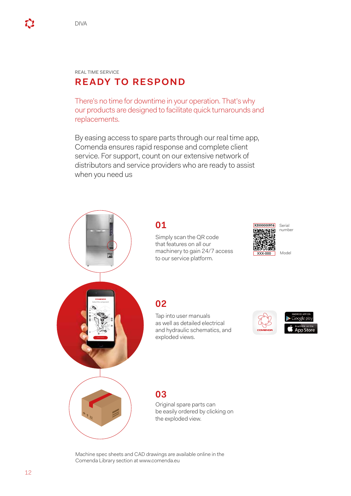REAL TIME SERVICE

# **READY TO RESPOND**

There's no time for downtime in your operation. That's why our products are designed to facilitate quick turnarounds and replacements.

By easing access to spare parts through our real time app, Comenda ensures rapid response and complete client service. For support, count on our extensive network of distributors and service providers who are ready to assist when you need us



Simply scan the QR code that features on all our machinery to gain 24/7 access to our service platform.



number

Model

## **02**

**01**

Tap into user manuals as well as detailed electrical and hydraulic schematics, and exploded views.





## **03**

Original spare parts can be easily ordered by clicking on the exploded view.

Machine spec sheets and CAD drawings are available online in the Comenda Library section at www.comenda.eu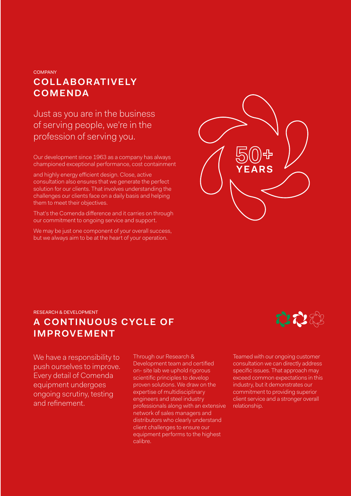#### **COMPANY**

# **COLL ABORATIVELY COMENDA**

Just as you are in the business of serving people, we're in the profession of serving you.

Our development since 1963 as a company has always championed exceptional performance, cost containment

and highly energy efficient design. Close, active consultation also ensures that we generate the perfect solution for our clients. That involves understanding the challenges our clients face on a daily basis and helping them to meet their objectives.

That's the Comenda difference and it carries on through our commitment to ongoing service and support.

We may be just one component of your overall success, but we always aim to be at the heart of your operation.



#### RESEARCH & DEVELOPMENT

# **A CONTINUOUS CYCLE OF IMPROVEMENT**

たなれ

We have a responsibility to push ourselves to improve. Every detail of Comenda equipment undergoes ongoing scrutiny, testing and refinement.

Through our Research & Development team and certified on- site lab we uphold rigorous scientific principles to develop proven solutions. We draw on the expertise of multidisciplinary engineers and steel industry professionals along with an extensive network of sales managers and distributors who clearly understand client challenges to ensure our equipment performs to the highest calibre.

Teamed with our ongoing customer consultation we can directly address specific issues. That approach may exceed common expectations in this industry, but it demonstrates our commitment to providing superior client service and a stronger overall relationship.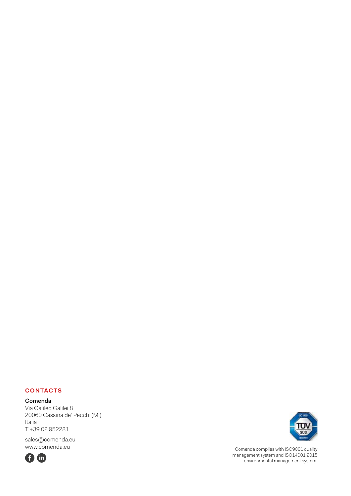#### **CONTACTS**

#### Comenda

Via Galileo Galilei 8 20060 Cassina de' Pecchi (MI) Italia T +39 02 952281

sales@comenda.eu<br>www.comenda.eu





Comenda complies with ISO9001 quality management system and ISO14001:2015 environmental management system.